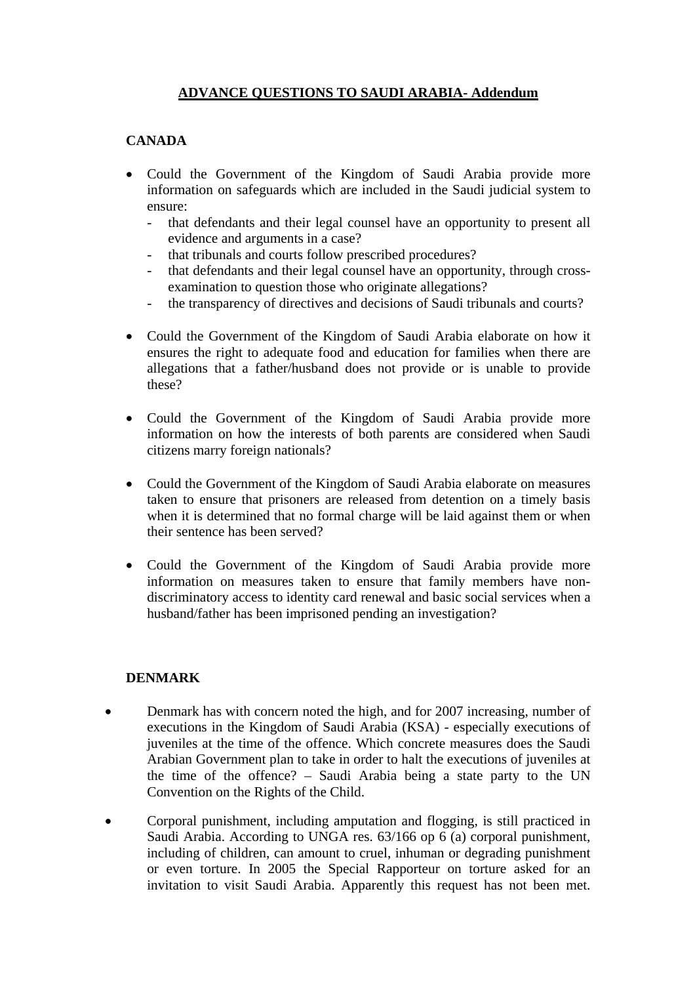# **ADVANCE QUESTIONS TO SAUDI ARABIA- Addendum**

## **CANADA**

- Could the Government of the Kingdom of Saudi Arabia provide more information on safeguards which are included in the Saudi judicial system to ensure:
	- that defendants and their legal counsel have an opportunity to present all evidence and arguments in a case?
	- that tribunals and courts follow prescribed procedures?
	- that defendants and their legal counsel have an opportunity, through crossexamination to question those who originate allegations?
	- the transparency of directives and decisions of Saudi tribunals and courts?
- Could the Government of the Kingdom of Saudi Arabia elaborate on how it ensures the right to adequate food and education for families when there are allegations that a father/husband does not provide or is unable to provide these?
- Could the Government of the Kingdom of Saudi Arabia provide more information on how the interests of both parents are considered when Saudi citizens marry foreign nationals?
- Could the Government of the Kingdom of Saudi Arabia elaborate on measures taken to ensure that prisoners are released from detention on a timely basis when it is determined that no formal charge will be laid against them or when their sentence has been served?
- Could the Government of the Kingdom of Saudi Arabia provide more information on measures taken to ensure that family members have nondiscriminatory access to identity card renewal and basic social services when a husband/father has been imprisoned pending an investigation?

## **DENMARK**

- Denmark has with concern noted the high, and for 2007 increasing, number of executions in the Kingdom of Saudi Arabia (KSA) - especially executions of juveniles at the time of the offence. Which concrete measures does the Saudi Arabian Government plan to take in order to halt the executions of juveniles at the time of the offence? – Saudi Arabia being a state party to the UN Convention on the Rights of the Child.
- Corporal punishment, including amputation and flogging, is still practiced in Saudi Arabia. According to UNGA res. 63/166 op 6 (a) corporal punishment, including of children, can amount to cruel, inhuman or degrading punishment or even torture. In 2005 the Special Rapporteur on torture asked for an invitation to visit Saudi Arabia. Apparently this request has not been met.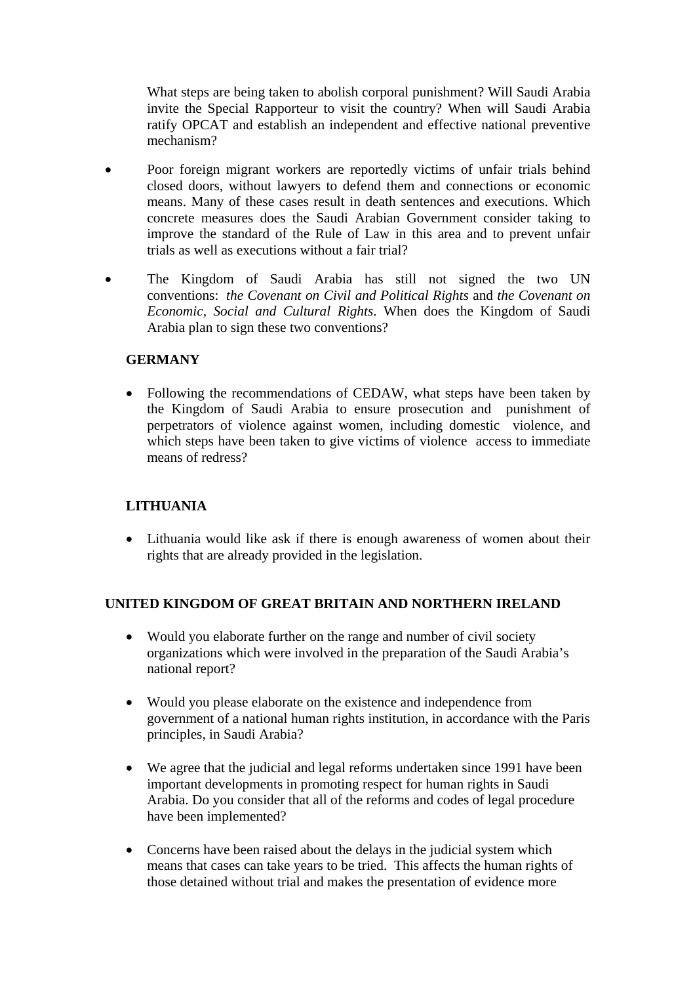What steps are being taken to abolish corporal punishment? Will Saudi Arabia invite the Special Rapporteur to visit the country? When will Saudi Arabia ratify OPCAT and establish an independent and effective national preventive mechanism?

- Poor foreign migrant workers are reportedly victims of unfair trials behind closed doors, without lawyers to defend them and connections or economic means. Many of these cases result in death sentences and executions. Which concrete measures does the Saudi Arabian Government consider taking to improve the standard of the Rule of Law in this area and to prevent unfair trials as well as executions without a fair trial?
- The Kingdom of Saudi Arabia has still not signed the two UN conventions: *the Covenant on Civil and Political Rights* and *the Covenant on Economic, Social and Cultural Rights*. When does the Kingdom of Saudi Arabia plan to sign these two conventions?

#### **GERMANY**

• Following the recommendations of CEDAW, what steps have been taken by the Kingdom of Saudi Arabia to ensure prosecution and punishment of perpetrators of violence against women, including domestic violence, and which steps have been taken to give victims of violence access to immediate means of redress?

## **LITHUANIA**

• Lithuania would like ask if there is enough awareness of women about their rights that are already provided in the legislation.

## **UNITED KINGDOM OF GREAT BRITAIN AND NORTHERN IRELAND**

- Would you elaborate further on the range and number of civil society organizations which were involved in the preparation of the Saudi Arabia's national report?
- Would you please elaborate on the existence and independence from government of a national human rights institution, in accordance with the Paris principles, in Saudi Arabia?
- We agree that the judicial and legal reforms undertaken since 1991 have been important developments in promoting respect for human rights in Saudi Arabia. Do you consider that all of the reforms and codes of legal procedure have been implemented?
- Concerns have been raised about the delays in the judicial system which means that cases can take years to be tried. This affects the human rights of those detained without trial and makes the presentation of evidence more